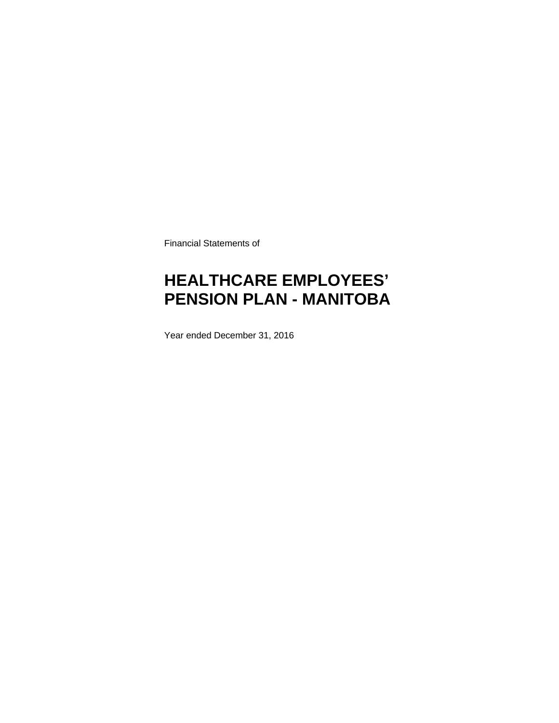Financial Statements of

# **HEALTHCARE EMPLOYEES' PENSION PLAN - MANITOBA**

Year ended December 31, 2016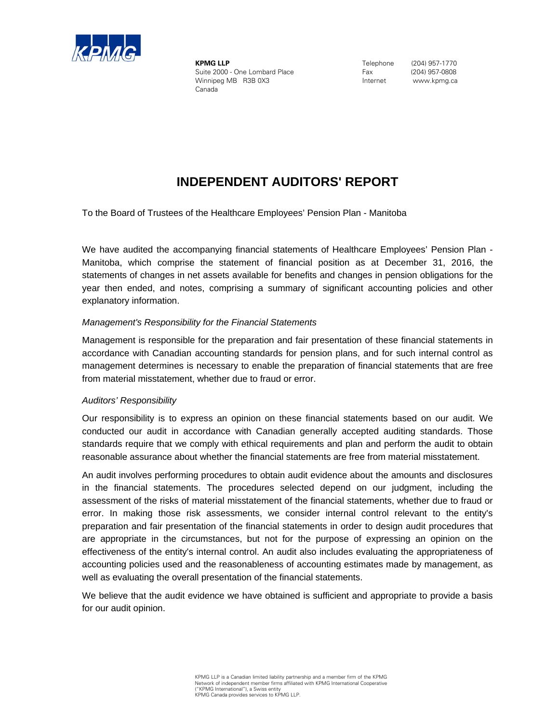

**KPMG LLP** Suite 2000 - One Lombard Place Winnipeg MB R3B 0X3 Canada

 Telephone (204) 957-1770 Fax (204) 957-0808 Internet www.kpmg.ca

## **INDEPENDENT AUDITORS' REPORT**

To the Board of Trustees of the Healthcare Employees' Pension Plan - Manitoba

We have audited the accompanying financial statements of Healthcare Employees' Pension Plan -Manitoba, which comprise the statement of financial position as at December 31, 2016, the statements of changes in net assets available for benefits and changes in pension obligations for the year then ended, and notes, comprising a summary of significant accounting policies and other explanatory information.

#### *Management's Responsibility for the Financial Statements*

Management is responsible for the preparation and fair presentation of these financial statements in accordance with Canadian accounting standards for pension plans, and for such internal control as management determines is necessary to enable the preparation of financial statements that are free from material misstatement, whether due to fraud or error.

#### *Auditors' Responsibility*

Our responsibility is to express an opinion on these financial statements based on our audit. We conducted our audit in accordance with Canadian generally accepted auditing standards. Those standards require that we comply with ethical requirements and plan and perform the audit to obtain reasonable assurance about whether the financial statements are free from material misstatement.

An audit involves performing procedures to obtain audit evidence about the amounts and disclosures in the financial statements. The procedures selected depend on our judgment, including the assessment of the risks of material misstatement of the financial statements, whether due to fraud or error. In making those risk assessments, we consider internal control relevant to the entity's preparation and fair presentation of the financial statements in order to design audit procedures that are appropriate in the circumstances, but not for the purpose of expressing an opinion on the effectiveness of the entity's internal control. An audit also includes evaluating the appropriateness of accounting policies used and the reasonableness of accounting estimates made by management, as well as evaluating the overall presentation of the financial statements.

We believe that the audit evidence we have obtained is sufficient and appropriate to provide a basis for our audit opinion.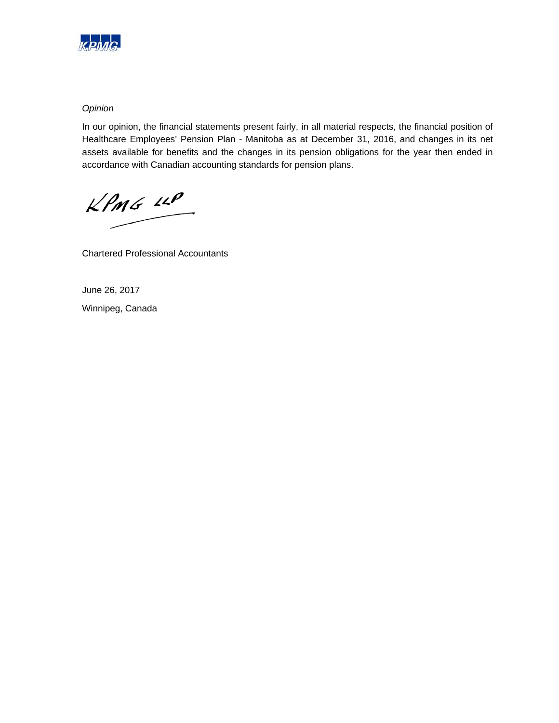

#### *Opinion*

In our opinion, the financial statements present fairly, in all material respects, the financial position of Healthcare Employees' Pension Plan - Manitoba as at December 31, 2016, and changes in its net assets available for benefits and the changes in its pension obligations for the year then ended in accordance with Canadian accounting standards for pension plans.

 $KPMG$  11P

Chartered Professional Accountants

June 26, 2017 Winnipeg, Canada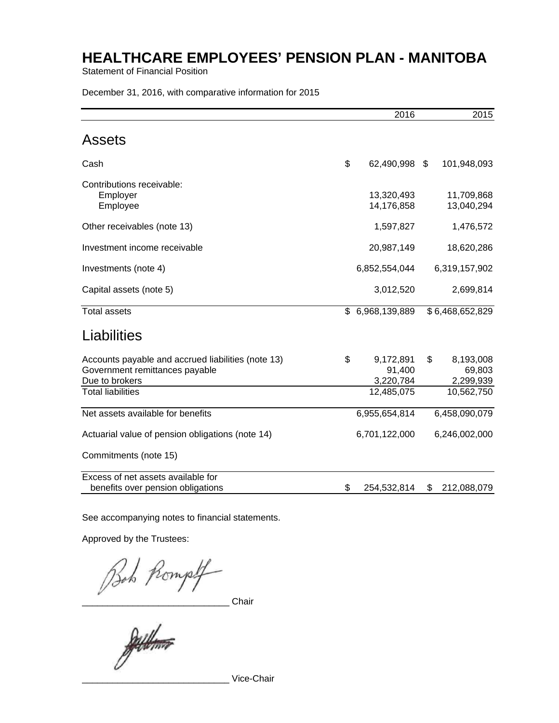Statement of Financial Position

December 31, 2016, with comparative information for 2015

|                                                                                                        | 2016                                   | 2015                                   |
|--------------------------------------------------------------------------------------------------------|----------------------------------------|----------------------------------------|
| <b>Assets</b>                                                                                          |                                        |                                        |
| Cash                                                                                                   | \$<br>62,490,998 \$                    | 101,948,093                            |
| Contributions receivable:<br>Employer<br>Employee                                                      | 13,320,493<br>14,176,858               | 11,709,868<br>13,040,294               |
| Other receivables (note 13)                                                                            | 1,597,827                              | 1,476,572                              |
| Investment income receivable                                                                           | 20,987,149                             | 18,620,286                             |
| Investments (note 4)                                                                                   | 6,852,554,044                          | 6,319,157,902                          |
| Capital assets (note 5)                                                                                | 3,012,520                              | 2,699,814                              |
| <b>Total assets</b>                                                                                    | \$6,968,139,889                        | \$6,468,652,829                        |
| Liabilities                                                                                            |                                        |                                        |
| Accounts payable and accrued liabilities (note 13)<br>Government remittances payable<br>Due to brokers | \$<br>9,172,891<br>91,400<br>3,220,784 | \$<br>8,193,008<br>69,803<br>2,299,939 |
| <b>Total liabilities</b>                                                                               | 12,485,075                             | 10,562,750                             |
| Net assets available for benefits                                                                      | 6,955,654,814                          | 6,458,090,079                          |
| Actuarial value of pension obligations (note 14)                                                       | 6,701,122,000                          | 6,246,002,000                          |
| Commitments (note 15)                                                                                  |                                        |                                        |
| Excess of net assets available for<br>benefits over pension obligations                                | \$<br>254,532,814                      | 212,088,079<br>\$                      |

See accompanying notes to financial statements.

Approved by the Trustees:

Boh Rompt

Jeletmore

Vice-Chair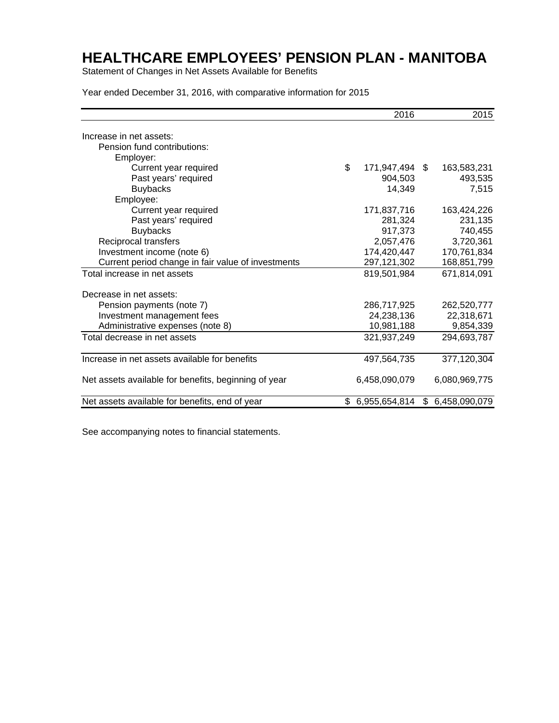Statement of Changes in Net Assets Available for Benefits

Year ended December 31, 2016, with comparative information for 2015

|                                                      | 2016                 | 2015            |
|------------------------------------------------------|----------------------|-----------------|
| Increase in net assets:                              |                      |                 |
| Pension fund contributions:                          |                      |                 |
| Employer:                                            |                      |                 |
| Current year required                                | \$<br>171,947,494 \$ | 163,583,231     |
| Past years' required                                 | 904,503              | 493,535         |
| <b>Buybacks</b>                                      | 14,349               | 7,515           |
| Employee:                                            |                      |                 |
| Current year required                                | 171,837,716          | 163,424,226     |
| Past years' required                                 | 281,324              | 231,135         |
| <b>Buybacks</b>                                      | 917,373              | 740,455         |
| Reciprocal transfers                                 | 2,057,476            | 3,720,361       |
| Investment income (note 6)                           | 174,420,447          | 170,761,834     |
| Current period change in fair value of investments   | 297, 121, 302        | 168,851,799     |
| Total increase in net assets                         | 819,501,984          | 671,814,091     |
| Decrease in net assets:                              |                      |                 |
| Pension payments (note 7)                            | 286,717,925          | 262,520,777     |
| Investment management fees                           | 24,238,136           | 22,318,671      |
| Administrative expenses (note 8)                     | 10,981,188           | 9,854,339       |
| Total decrease in net assets                         | 321,937,249          | 294,693,787     |
| Increase in net assets available for benefits        | 497,564,735          | 377,120,304     |
| Net assets available for benefits, beginning of year | 6,458,090,079        | 6,080,969,775   |
| Net assets available for benefits, end of year       | \$6,955,654,814      | \$6,458,090,079 |

See accompanying notes to financial statements.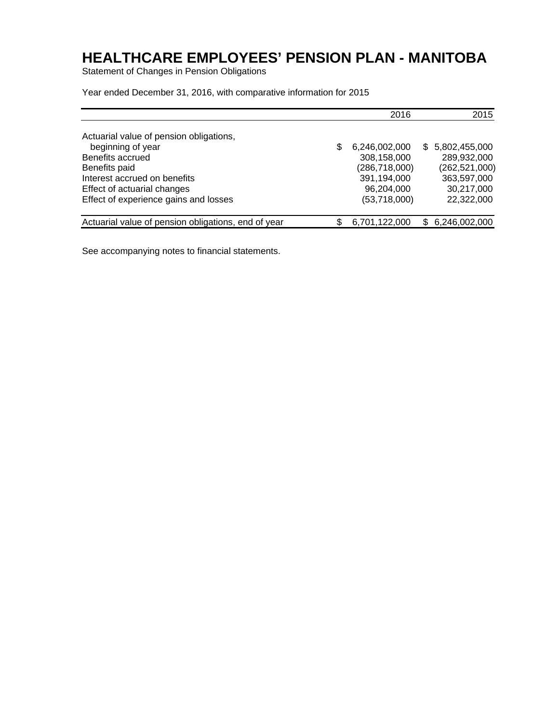Statement of Changes in Pension Obligations

Year ended December 31, 2016, with comparative information for 2015

|                                                     |    | 2016                         | 2015                           |
|-----------------------------------------------------|----|------------------------------|--------------------------------|
| Actuarial value of pension obligations,             | \$ |                              |                                |
| beginning of year<br>Benefits accrued               |    | 6,246,002,000<br>308,158,000 | \$5,802,455,000<br>289,932,000 |
| Benefits paid                                       |    | (286, 718, 000)              | (262, 521, 000)                |
| Interest accrued on benefits                        |    | 391,194,000                  | 363,597,000                    |
| Effect of actuarial changes                         |    | 96,204,000                   | 30,217,000                     |
| Effect of experience gains and losses               |    | (53, 718, 000)               | 22,322,000                     |
| Actuarial value of pension obligations, end of year | S  | 6,701,122,000                | \$6,246,002,000                |

See accompanying notes to financial statements.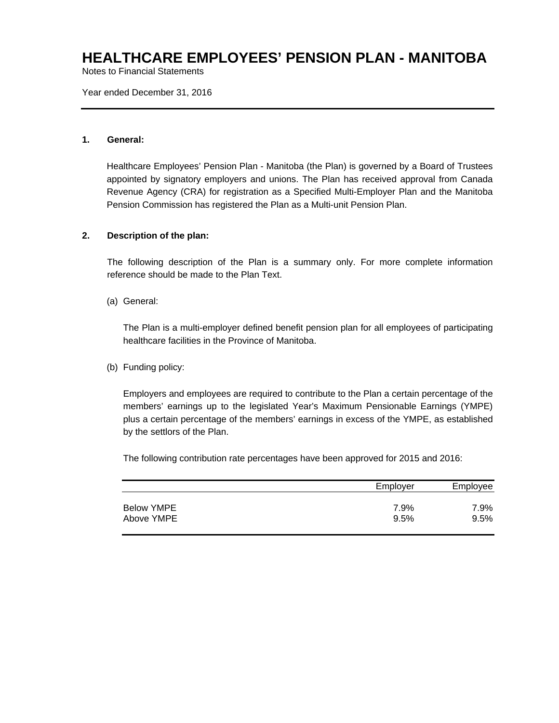Notes to Financial Statements

Year ended December 31, 2016

#### **1. General:**

Healthcare Employees' Pension Plan - Manitoba (the Plan) is governed by a Board of Trustees appointed by signatory employers and unions. The Plan has received approval from Canada Revenue Agency (CRA) for registration as a Specified Multi-Employer Plan and the Manitoba Pension Commission has registered the Plan as a Multi-unit Pension Plan.

#### **2. Description of the plan:**

The following description of the Plan is a summary only. For more complete information reference should be made to the Plan Text.

(a) General:

The Plan is a multi-employer defined benefit pension plan for all employees of participating healthcare facilities in the Province of Manitoba.

#### (b) Funding policy:

Employers and employees are required to contribute to the Plan a certain percentage of the members' earnings up to the legislated Year's Maximum Pensionable Earnings (YMPE) plus a certain percentage of the members' earnings in excess of the YMPE, as established by the settlors of the Plan.

The following contribution rate percentages have been approved for 2015 and 2016:

|            | Employer | Employee |
|------------|----------|----------|
| Below YMPE | 7.9%     | 7.9%     |
| Above YMPE | 9.5%     | 9.5%     |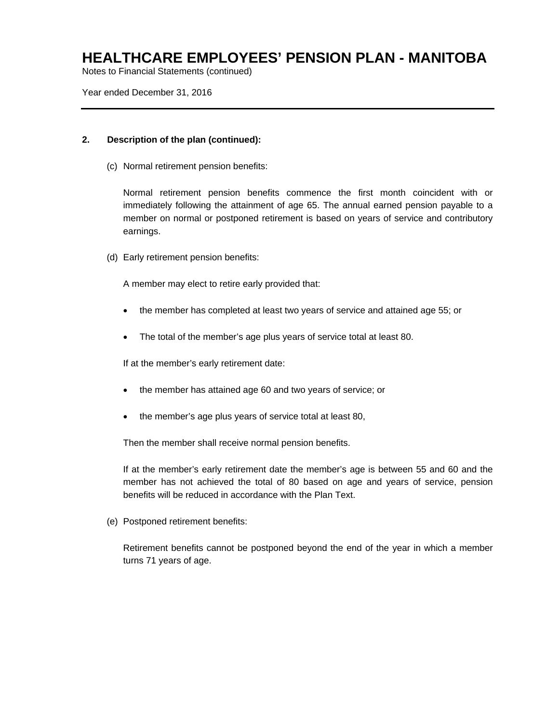Notes to Financial Statements (continued)

Year ended December 31, 2016

#### **2. Description of the plan (continued):**

(c) Normal retirement pension benefits:

Normal retirement pension benefits commence the first month coincident with or immediately following the attainment of age 65. The annual earned pension payable to a member on normal or postponed retirement is based on years of service and contributory earnings.

(d) Early retirement pension benefits:

A member may elect to retire early provided that:

- the member has completed at least two years of service and attained age 55; or
- The total of the member's age plus years of service total at least 80.

If at the member's early retirement date:

- the member has attained age 60 and two years of service; or
- the member's age plus years of service total at least 80,

Then the member shall receive normal pension benefits.

If at the member's early retirement date the member's age is between 55 and 60 and the member has not achieved the total of 80 based on age and years of service, pension benefits will be reduced in accordance with the Plan Text.

(e) Postponed retirement benefits:

Retirement benefits cannot be postponed beyond the end of the year in which a member turns 71 years of age.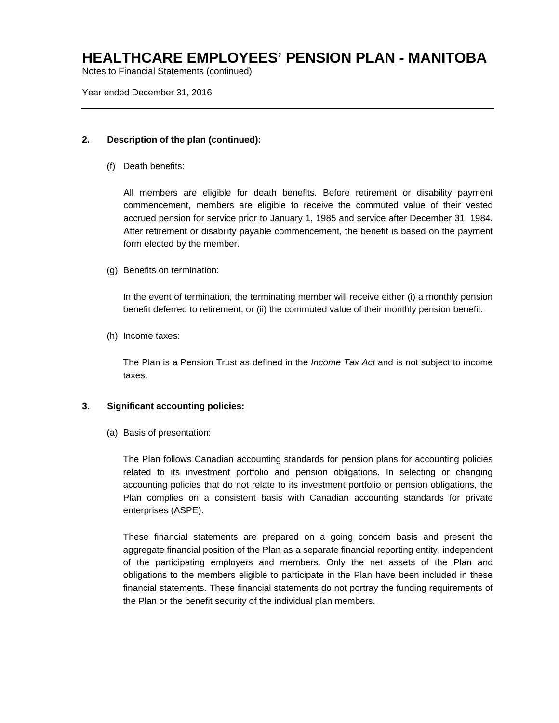Notes to Financial Statements (continued)

Year ended December 31, 2016

#### **2. Description of the plan (continued):**

(f) Death benefits:

All members are eligible for death benefits. Before retirement or disability payment commencement, members are eligible to receive the commuted value of their vested accrued pension for service prior to January 1, 1985 and service after December 31, 1984. After retirement or disability payable commencement, the benefit is based on the payment form elected by the member.

(g) Benefits on termination:

In the event of termination, the terminating member will receive either (i) a monthly pension benefit deferred to retirement; or (ii) the commuted value of their monthly pension benefit.

(h) Income taxes:

The Plan is a Pension Trust as defined in the *Income Tax Act* and is not subject to income taxes.

#### **3. Significant accounting policies:**

(a) Basis of presentation:

The Plan follows Canadian accounting standards for pension plans for accounting policies related to its investment portfolio and pension obligations. In selecting or changing accounting policies that do not relate to its investment portfolio or pension obligations, the Plan complies on a consistent basis with Canadian accounting standards for private enterprises (ASPE).

These financial statements are prepared on a going concern basis and present the aggregate financial position of the Plan as a separate financial reporting entity, independent of the participating employers and members. Only the net assets of the Plan and obligations to the members eligible to participate in the Plan have been included in these financial statements. These financial statements do not portray the funding requirements of the Plan or the benefit security of the individual plan members.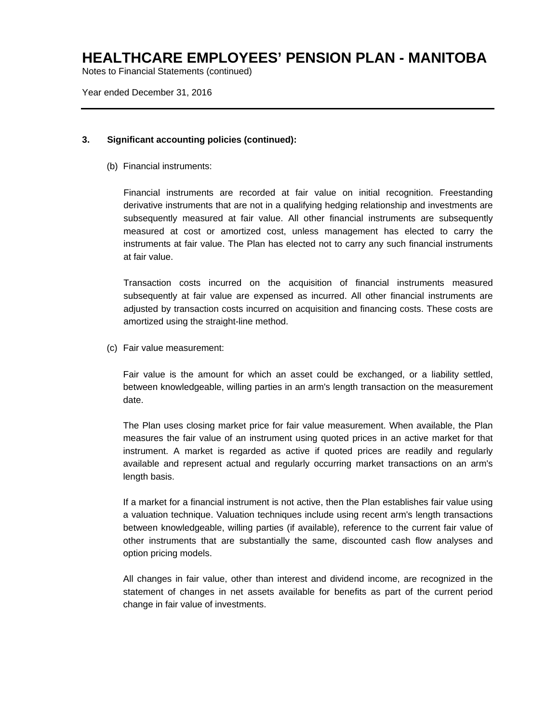Notes to Financial Statements (continued)

Year ended December 31, 2016

#### **3. Significant accounting policies (continued):**

(b) Financial instruments:

Financial instruments are recorded at fair value on initial recognition. Freestanding derivative instruments that are not in a qualifying hedging relationship and investments are subsequently measured at fair value. All other financial instruments are subsequently measured at cost or amortized cost, unless management has elected to carry the instruments at fair value. The Plan has elected not to carry any such financial instruments at fair value.

Transaction costs incurred on the acquisition of financial instruments measured subsequently at fair value are expensed as incurred. All other financial instruments are adjusted by transaction costs incurred on acquisition and financing costs. These costs are amortized using the straight-line method.

(c) Fair value measurement:

Fair value is the amount for which an asset could be exchanged, or a liability settled, between knowledgeable, willing parties in an arm's length transaction on the measurement date.

The Plan uses closing market price for fair value measurement. When available, the Plan measures the fair value of an instrument using quoted prices in an active market for that instrument. A market is regarded as active if quoted prices are readily and regularly available and represent actual and regularly occurring market transactions on an arm's length basis.

If a market for a financial instrument is not active, then the Plan establishes fair value using a valuation technique. Valuation techniques include using recent arm's length transactions between knowledgeable, willing parties (if available), reference to the current fair value of other instruments that are substantially the same, discounted cash flow analyses and option pricing models.

All changes in fair value, other than interest and dividend income, are recognized in the statement of changes in net assets available for benefits as part of the current period change in fair value of investments.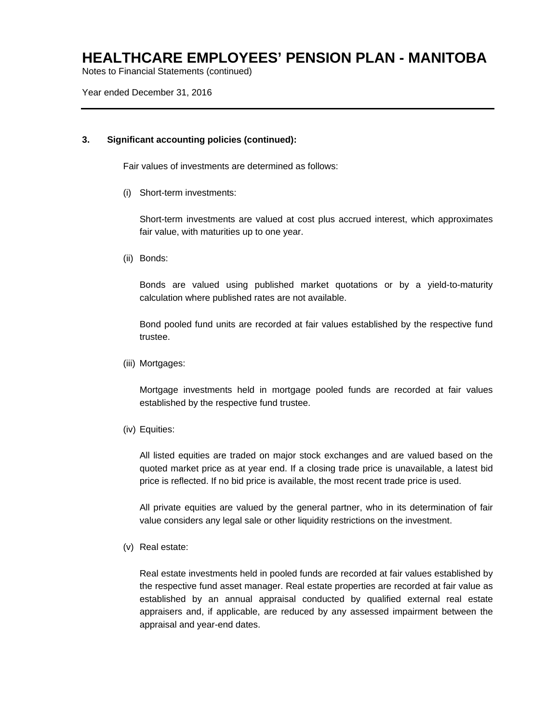Notes to Financial Statements (continued)

Year ended December 31, 2016

#### **3. Significant accounting policies (continued):**

Fair values of investments are determined as follows:

(i) Short-term investments:

Short-term investments are valued at cost plus accrued interest, which approximates fair value, with maturities up to one year.

(ii) Bonds:

Bonds are valued using published market quotations or by a yield-to-maturity calculation where published rates are not available.

Bond pooled fund units are recorded at fair values established by the respective fund trustee.

(iii) Mortgages:

Mortgage investments held in mortgage pooled funds are recorded at fair values established by the respective fund trustee.

(iv) Equities:

All listed equities are traded on major stock exchanges and are valued based on the quoted market price as at year end. If a closing trade price is unavailable, a latest bid price is reflected. If no bid price is available, the most recent trade price is used.

All private equities are valued by the general partner, who in its determination of fair value considers any legal sale or other liquidity restrictions on the investment.

(v) Real estate:

Real estate investments held in pooled funds are recorded at fair values established by the respective fund asset manager. Real estate properties are recorded at fair value as established by an annual appraisal conducted by qualified external real estate appraisers and, if applicable, are reduced by any assessed impairment between the appraisal and year-end dates.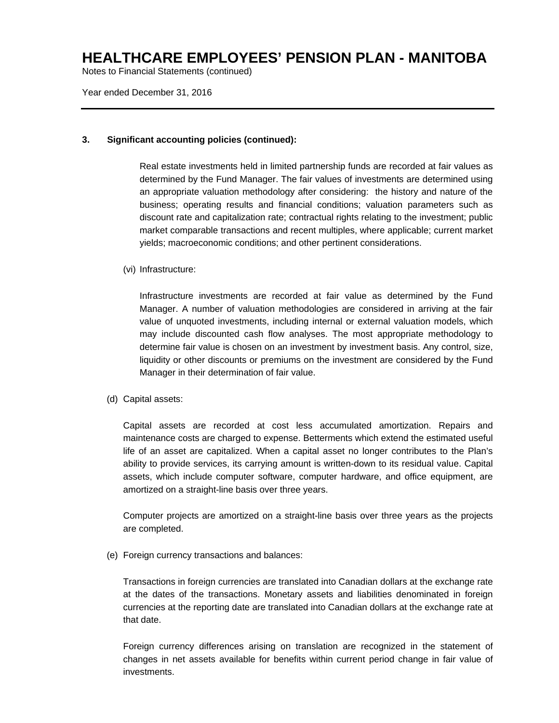Notes to Financial Statements (continued)

Year ended December 31, 2016

#### **3. Significant accounting policies (continued):**

Real estate investments held in limited partnership funds are recorded at fair values as determined by the Fund Manager. The fair values of investments are determined using an appropriate valuation methodology after considering: the history and nature of the business; operating results and financial conditions; valuation parameters such as discount rate and capitalization rate; contractual rights relating to the investment; public market comparable transactions and recent multiples, where applicable; current market yields; macroeconomic conditions; and other pertinent considerations.

(vi) Infrastructure:

Infrastructure investments are recorded at fair value as determined by the Fund Manager. A number of valuation methodologies are considered in arriving at the fair value of unquoted investments, including internal or external valuation models, which may include discounted cash flow analyses. The most appropriate methodology to determine fair value is chosen on an investment by investment basis. Any control, size, liquidity or other discounts or premiums on the investment are considered by the Fund Manager in their determination of fair value.

(d) Capital assets:

Capital assets are recorded at cost less accumulated amortization. Repairs and maintenance costs are charged to expense. Betterments which extend the estimated useful life of an asset are capitalized. When a capital asset no longer contributes to the Plan's ability to provide services, its carrying amount is written-down to its residual value. Capital assets, which include computer software, computer hardware, and office equipment, are amortized on a straight-line basis over three years.

Computer projects are amortized on a straight-line basis over three years as the projects are completed.

(e) Foreign currency transactions and balances:

Transactions in foreign currencies are translated into Canadian dollars at the exchange rate at the dates of the transactions. Monetary assets and liabilities denominated in foreign currencies at the reporting date are translated into Canadian dollars at the exchange rate at that date.

Foreign currency differences arising on translation are recognized in the statement of changes in net assets available for benefits within current period change in fair value of investments.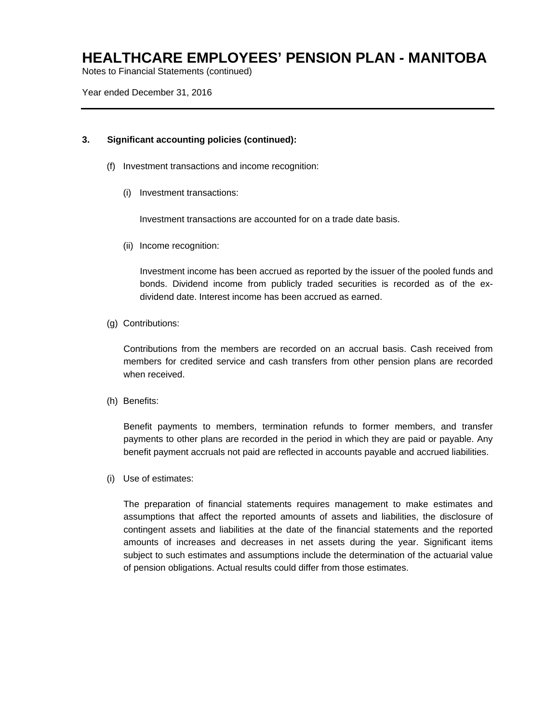Notes to Financial Statements (continued)

Year ended December 31, 2016

#### **3. Significant accounting policies (continued):**

- (f) Investment transactions and income recognition:
	- (i) Investment transactions:

Investment transactions are accounted for on a trade date basis.

(ii) Income recognition:

Investment income has been accrued as reported by the issuer of the pooled funds and bonds. Dividend income from publicly traded securities is recorded as of the exdividend date. Interest income has been accrued as earned.

(g) Contributions:

Contributions from the members are recorded on an accrual basis. Cash received from members for credited service and cash transfers from other pension plans are recorded when received.

(h) Benefits:

Benefit payments to members, termination refunds to former members, and transfer payments to other plans are recorded in the period in which they are paid or payable. Any benefit payment accruals not paid are reflected in accounts payable and accrued liabilities.

(i) Use of estimates:

The preparation of financial statements requires management to make estimates and assumptions that affect the reported amounts of assets and liabilities, the disclosure of contingent assets and liabilities at the date of the financial statements and the reported amounts of increases and decreases in net assets during the year. Significant items subject to such estimates and assumptions include the determination of the actuarial value of pension obligations. Actual results could differ from those estimates.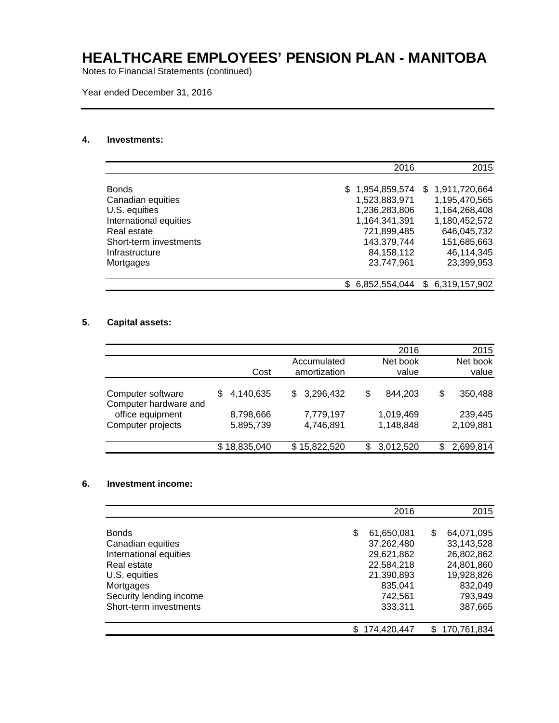Notes to Financial Statements (continued)

Year ended December 31, 2016

#### **4. Investments:**

|                        | 2016               | 2015                 |
|------------------------|--------------------|----------------------|
|                        |                    |                      |
| <b>Bonds</b>           | \$1,954,859,574    | \$1,911,720,664      |
| Canadian equities      | 1,523,883,971      | 1,195,470,565        |
| U.S. equities          | 1,236,283,806      | 1,164,268,408        |
| International equities | 1,164,341,391      | 1,180,452,572        |
| Real estate            | 721,899,485        | 646,045,732          |
| Short-term investments | 143,379,744        | 151,685,663          |
| Infrastructure         | 84, 158, 112       | 46,114,345           |
| Mortgages              | 23,747,961         | 23,399,953           |
|                        |                    |                      |
|                        | 6,852,554,044<br>S | 6,319,157,902<br>\$. |

#### **5. Capital assets:**

|                                            |   |              |     |              |    | 2016      |    | 2015      |
|--------------------------------------------|---|--------------|-----|--------------|----|-----------|----|-----------|
|                                            |   |              |     | Accumulated  |    | Net book  |    | Net book  |
|                                            |   | Cost         |     | amortization |    | value     |    | value     |
| Computer software<br>Computer hardware and | S | 4,140,635    | \$. | 3,296,432    | \$ | 844.203   | \$ | 350,488   |
| office equipment                           |   | 8,798,666    |     | 7,779,197    |    | 1,019,469 |    | 239,445   |
| Computer projects                          |   | 5,895,739    |     | 4,746,891    |    | 1,148,848 |    | 2,109,881 |
|                                            |   | \$18,835,040 |     | \$15,822,520 | S  | 3,012,520 | S. | 2,699,814 |

#### **6. Investment income:**

|                         | 2016             |   | 2015          |
|-------------------------|------------------|---|---------------|
| <b>Bonds</b>            | \$<br>61,650,081 | S | 64,071,095    |
| Canadian equities       | 37,262,480       |   | 33,143,528    |
| International equities  | 29,621,862       |   | 26,802,862    |
| Real estate             | 22,584,218       |   | 24,801,860    |
| U.S. equities           | 21,390,893       |   | 19,928,826    |
| Mortgages               | 835,041          |   | 832,049       |
| Security lending income | 742,561          |   | 793,949       |
| Short-term investments  | 333,311          |   | 387,665       |
|                         |                  |   |               |
|                         | \$174,420,447    |   | \$170,761,834 |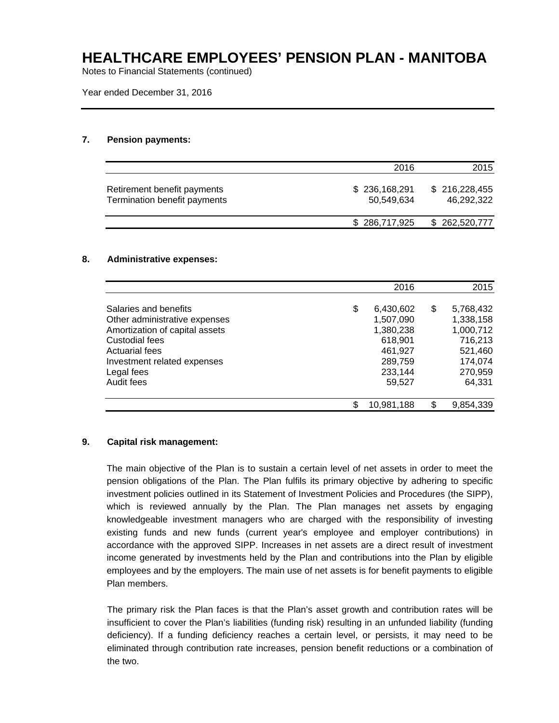Notes to Financial Statements (continued)

Year ended December 31, 2016

#### **7. Pension payments:**

|                                                             | 2016                        | 2015                        |
|-------------------------------------------------------------|-----------------------------|-----------------------------|
| Retirement benefit payments<br>Termination benefit payments | \$236,168,291<br>50.549.634 | \$216,228,455<br>46,292,322 |
|                                                             | \$286,717,925               | \$262,520,777               |

#### **8. Administrative expenses:**

|                                                                                                                                                                                  | 2016                                                                                  | 2015                                                                                  |
|----------------------------------------------------------------------------------------------------------------------------------------------------------------------------------|---------------------------------------------------------------------------------------|---------------------------------------------------------------------------------------|
| Salaries and benefits<br>Other administrative expenses<br>Amortization of capital assets<br>Custodial fees<br><b>Actuarial fees</b><br>Investment related expenses<br>Legal fees | \$<br>6,430,602<br>1,507,090<br>1,380,238<br>618,901<br>461,927<br>289,759<br>233,144 | \$<br>5,768,432<br>1,338,158<br>1,000,712<br>716,213<br>521,460<br>174,074<br>270,959 |
| Audit fees                                                                                                                                                                       | 59,527                                                                                | 64,331                                                                                |
|                                                                                                                                                                                  | \$<br>10,981,188                                                                      | 9,854,339                                                                             |

#### **9. Capital risk management:**

The main objective of the Plan is to sustain a certain level of net assets in order to meet the pension obligations of the Plan. The Plan fulfils its primary objective by adhering to specific investment policies outlined in its Statement of Investment Policies and Procedures (the SIPP), which is reviewed annually by the Plan. The Plan manages net assets by engaging knowledgeable investment managers who are charged with the responsibility of investing existing funds and new funds (current year's employee and employer contributions) in accordance with the approved SIPP. Increases in net assets are a direct result of investment income generated by investments held by the Plan and contributions into the Plan by eligible employees and by the employers. The main use of net assets is for benefit payments to eligible Plan members.

The primary risk the Plan faces is that the Plan's asset growth and contribution rates will be insufficient to cover the Plan's liabilities (funding risk) resulting in an unfunded liability (funding deficiency). If a funding deficiency reaches a certain level, or persists, it may need to be eliminated through contribution rate increases, pension benefit reductions or a combination of the two.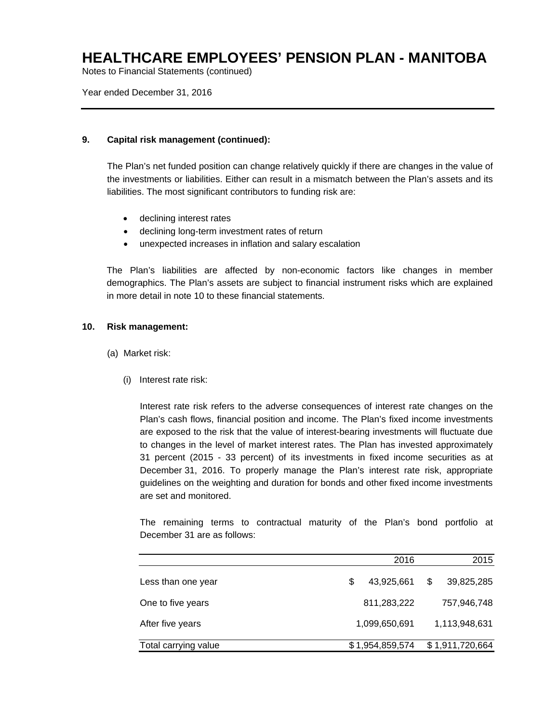Notes to Financial Statements (continued)

Year ended December 31, 2016

#### **9. Capital risk management (continued):**

The Plan's net funded position can change relatively quickly if there are changes in the value of the investments or liabilities. Either can result in a mismatch between the Plan's assets and its liabilities. The most significant contributors to funding risk are:

- declining interest rates
- declining long-term investment rates of return
- unexpected increases in inflation and salary escalation

The Plan's liabilities are affected by non-economic factors like changes in member demographics. The Plan's assets are subject to financial instrument risks which are explained in more detail in note 10 to these financial statements.

#### **10. Risk management:**

- (a) Market risk:
	- (i) Interest rate risk:

Interest rate risk refers to the adverse consequences of interest rate changes on the Plan's cash flows, financial position and income. The Plan's fixed income investments are exposed to the risk that the value of interest-bearing investments will fluctuate due to changes in the level of market interest rates. The Plan has invested approximately 31 percent (2015 - 33 percent) of its investments in fixed income securities as at December 31, 2016. To properly manage the Plan's interest rate risk, appropriate guidelines on the weighting and duration for bonds and other fixed income investments are set and monitored.

The remaining terms to contractual maturity of the Plan's bond portfolio at December 31 are as follows:

|                      |     | 2016            |   | 2015            |
|----------------------|-----|-----------------|---|-----------------|
| Less than one year   | \$. | 43,925,661      | S | 39,825,285      |
| One to five years    |     | 811,283,222     |   | 757,946,748     |
| After five years     |     | 1,099,650,691   |   | 1,113,948,631   |
| Total carrying value |     | \$1,954,859,574 |   | \$1,911,720,664 |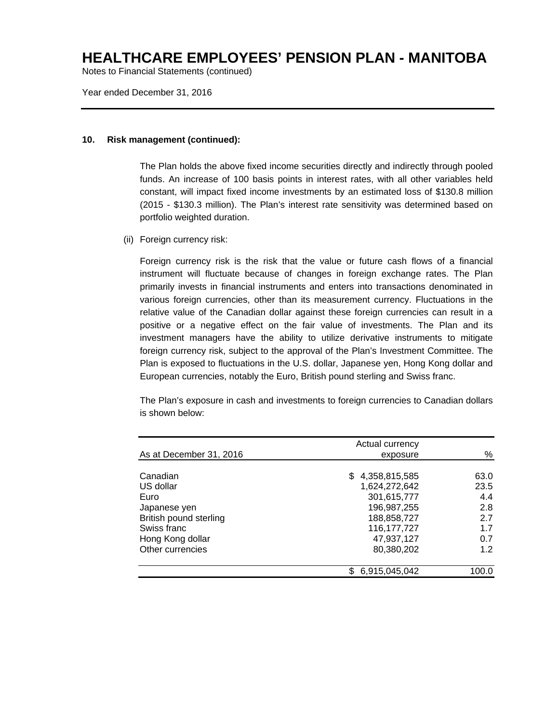Notes to Financial Statements (continued)

Year ended December 31, 2016

#### **10. Risk management (continued):**

The Plan holds the above fixed income securities directly and indirectly through pooled funds. An increase of 100 basis points in interest rates, with all other variables held constant, will impact fixed income investments by an estimated loss of \$130.8 million (2015 - \$130.3 million). The Plan's interest rate sensitivity was determined based on portfolio weighted duration.

(ii) Foreign currency risk:

Foreign currency risk is the risk that the value or future cash flows of a financial instrument will fluctuate because of changes in foreign exchange rates. The Plan primarily invests in financial instruments and enters into transactions denominated in various foreign currencies, other than its measurement currency. Fluctuations in the relative value of the Canadian dollar against these foreign currencies can result in a positive or a negative effect on the fair value of investments. The Plan and its investment managers have the ability to utilize derivative instruments to mitigate foreign currency risk, subject to the approval of the Plan's Investment Committee. The Plan is exposed to fluctuations in the U.S. dollar, Japanese yen, Hong Kong dollar and European currencies, notably the Euro, British pound sterling and Swiss franc.

The Plan's exposure in cash and investments to foreign currencies to Canadian dollars is shown below:

|                         | Actual currency |                  |
|-------------------------|-----------------|------------------|
| As at December 31, 2016 | exposure        | %                |
|                         |                 |                  |
| Canadian                | \$4,358,815,585 | 63.0             |
| US dollar               | 1,624,272,642   | 23.5             |
| Euro                    | 301,615,777     | 4.4              |
| Japanese yen            | 196,987,255     | 2.8              |
| British pound sterling  | 188,858,727     | 2.7              |
| Swiss franc             | 116, 177, 727   | 1.7              |
| Hong Kong dollar        | 47,937,127      | 0.7              |
| Other currencies        | 80,380,202      | 1.2 <sub>1</sub> |
|                         | 6,915,045,042   | 100.0            |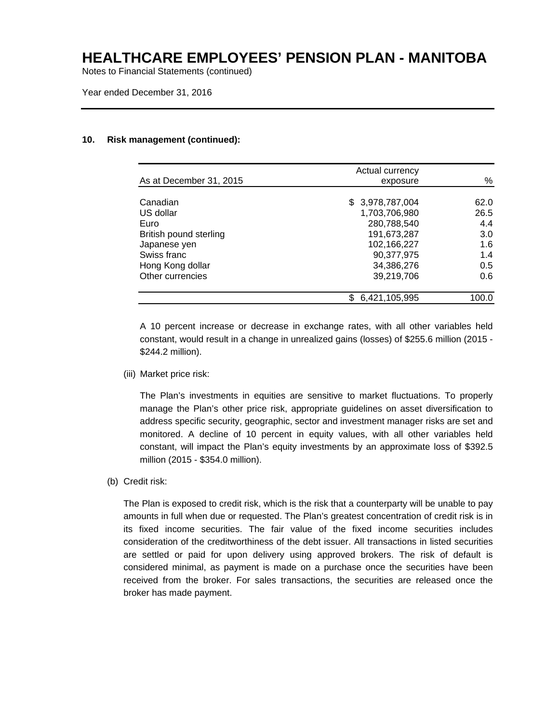Notes to Financial Statements (continued)

Year ended December 31, 2016

#### **10. Risk management (continued):**

|                         | Actual currency  |       |
|-------------------------|------------------|-------|
| As at December 31, 2015 | exposure         | %     |
| Canadian                | \$ 3,978,787,004 | 62.0  |
| US dollar               | 1,703,706,980    | 26.5  |
| Euro                    | 280,788,540      | 4.4   |
| British pound sterling  | 191,673,287      | 3.0   |
| Japanese yen            | 102,166,227      | 1.6   |
| Swiss franc             | 90,377,975       | 1.4   |
| Hong Kong dollar        | 34,386,276       | 0.5   |
| Other currencies        | 39,219,706       | 0.6   |
|                         |                  |       |
|                         | 6,421,105,995    | 100.0 |

A 10 percent increase or decrease in exchange rates, with all other variables held constant, would result in a change in unrealized gains (losses) of \$255.6 million (2015 - \$244.2 million).

(iii) Market price risk:

The Plan's investments in equities are sensitive to market fluctuations. To properly manage the Plan's other price risk, appropriate guidelines on asset diversification to address specific security, geographic, sector and investment manager risks are set and monitored. A decline of 10 percent in equity values, with all other variables held constant, will impact the Plan's equity investments by an approximate loss of \$392.5 million (2015 - \$354.0 million).

(b) Credit risk:

The Plan is exposed to credit risk, which is the risk that a counterparty will be unable to pay amounts in full when due or requested. The Plan's greatest concentration of credit risk is in its fixed income securities. The fair value of the fixed income securities includes consideration of the creditworthiness of the debt issuer. All transactions in listed securities are settled or paid for upon delivery using approved brokers. The risk of default is considered minimal, as payment is made on a purchase once the securities have been received from the broker. For sales transactions, the securities are released once the broker has made payment.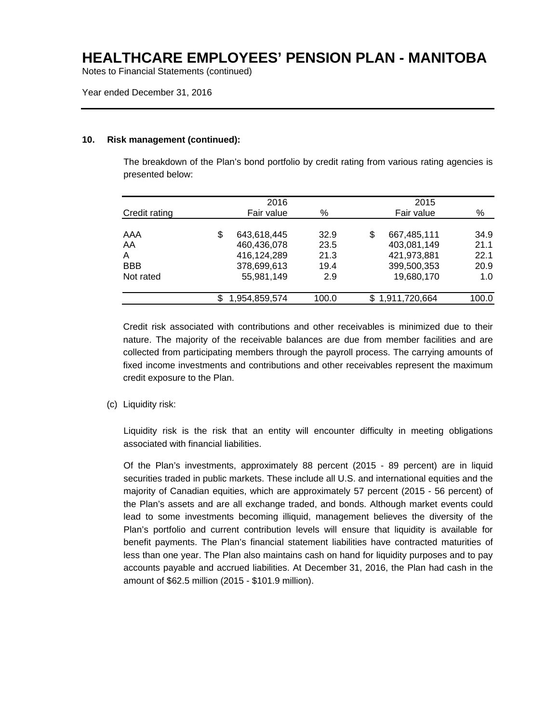Notes to Financial Statements (continued)

Year ended December 31, 2016

#### **10. Risk management (continued):**

The breakdown of the Plan's bond portfolio by credit rating from various rating agencies is presented below:

|               | 2016              |       | 2015              |       |
|---------------|-------------------|-------|-------------------|-------|
| Credit rating | Fair value        | %     | Fair value        | $\%$  |
| AAA           | \$<br>643,618,445 | 32.9  | \$<br>667,485,111 | 34.9  |
| AA            | 460,436,078       | 23.5  | 403,081,149       | 21.1  |
| A             | 416,124,289       | 21.3  | 421,973,881       | 22.1  |
| <b>BBB</b>    | 378,699,613       | 19.4  | 399,500,353       | 20.9  |
| Not rated     | 55,981,149        | 2.9   | 19,680,170        | 1.0   |
|               | 1,954,859,574     | 100.0 | \$1,911,720,664   | 100.0 |

Credit risk associated with contributions and other receivables is minimized due to their nature. The majority of the receivable balances are due from member facilities and are collected from participating members through the payroll process. The carrying amounts of fixed income investments and contributions and other receivables represent the maximum credit exposure to the Plan.

(c) Liquidity risk:

Liquidity risk is the risk that an entity will encounter difficulty in meeting obligations associated with financial liabilities.

Of the Plan's investments, approximately 88 percent (2015 - 89 percent) are in liquid securities traded in public markets. These include all U.S. and international equities and the majority of Canadian equities, which are approximately 57 percent (2015 - 56 percent) of the Plan's assets and are all exchange traded, and bonds. Although market events could lead to some investments becoming illiquid, management believes the diversity of the Plan's portfolio and current contribution levels will ensure that liquidity is available for benefit payments. The Plan's financial statement liabilities have contracted maturities of less than one year. The Plan also maintains cash on hand for liquidity purposes and to pay accounts payable and accrued liabilities. At December 31, 2016, the Plan had cash in the amount of \$62.5 million (2015 - \$101.9 million).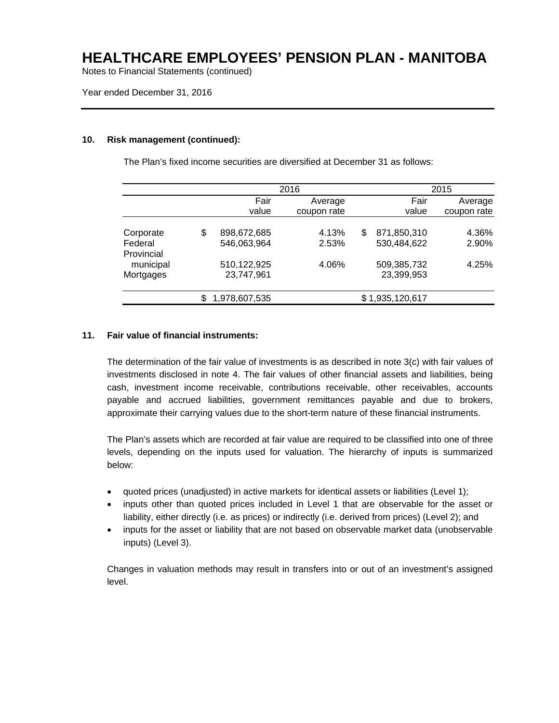Notes to Financial Statements (continued)

Year ended December 31, 2016

#### **10. Risk management (continued):**

The Plan's fixed income securities are diversified at December 31 as follows:

|            |                     | 2016        |                   | 2015        |
|------------|---------------------|-------------|-------------------|-------------|
|            | Fair                | Average     | Fair              | Average     |
|            | value               | coupon rate | value             | coupon rate |
|            |                     |             |                   |             |
| Corporate  | \$<br>898,672,685   | 4.13%       | \$<br>871,850,310 | 4.36%       |
| Federal    | 546,063,964         | 2.53%       | 530,484,622       | 2.90%       |
| Provincial |                     |             |                   |             |
| municipal  | 510,122,925         | 4.06%       | 509,385,732       | 4.25%       |
| Mortgages  | 23,747,961          |             | 23,399,953        |             |
|            | \$<br>1,978,607,535 |             | \$1,935,120,617   |             |

#### **11. Fair value of financial instruments:**

The determination of the fair value of investments is as described in note 3(c) with fair values of investments disclosed in note 4. The fair values of other financial assets and liabilities, being cash, investment income receivable, contributions receivable, other receivables, accounts payable and accrued liabilities, government remittances payable and due to brokers, approximate their carrying values due to the short-term nature of these financial instruments.

The Plan's assets which are recorded at fair value are required to be classified into one of three levels, depending on the inputs used for valuation. The hierarchy of inputs is summarized below:

- quoted prices (unadjusted) in active markets for identical assets or liabilities (Level 1);
- inputs other than quoted prices included in Level 1 that are observable for the asset or liability, either directly (i.e. as prices) or indirectly (i.e. derived from prices) (Level 2); and
- inputs for the asset or liability that are not based on observable market data (unobservable inputs) (Level 3).

Changes in valuation methods may result in transfers into or out of an investment's assigned level.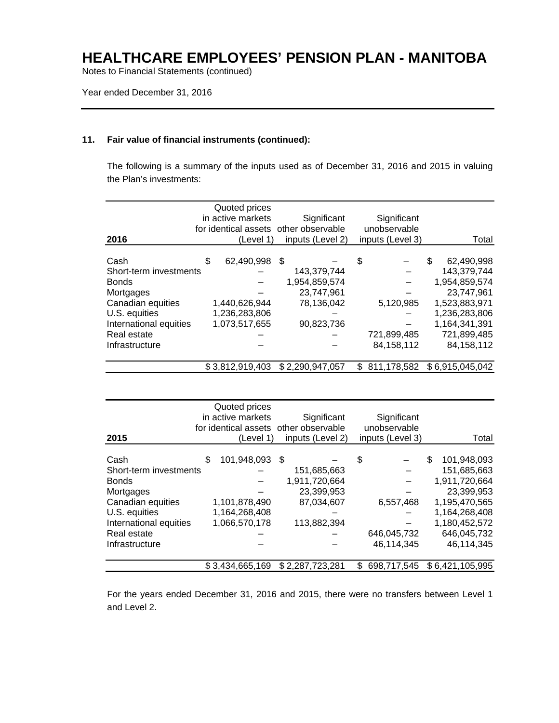Notes to Financial Statements (continued)

Year ended December 31, 2016

#### **11. Fair value of financial instruments (continued):**

The following is a summary of the inputs used as of December 31, 2016 and 2015 in valuing the Plan's investments:

| 2016                   | Quoted prices<br>in active markets<br>(Level 1) | Significant<br>for identical assets other observable<br>inputs (Level 2) | Significant<br>unobservable<br>inputs (Level 3) | Total            |
|------------------------|-------------------------------------------------|--------------------------------------------------------------------------|-------------------------------------------------|------------------|
| Cash                   | \$<br>62,490,998                                | \$                                                                       | \$                                              | \$<br>62,490,998 |
| Short-term investments |                                                 | 143.379.744                                                              |                                                 | 143.379.744      |
| <b>Bonds</b>           |                                                 | 1,954,859,574                                                            |                                                 | 1,954,859,574    |
| Mortgages              |                                                 | 23,747,961                                                               |                                                 | 23,747,961       |
| Canadian equities      | 1,440,626,944                                   | 78,136,042                                                               | 5,120,985                                       | 1,523,883,971    |
| U.S. equities          | 1,236,283,806                                   |                                                                          |                                                 | 1,236,283,806    |
| International equities | 1,073,517,655                                   | 90,823,736                                                               |                                                 | 1,164,341,391    |
| Real estate            |                                                 |                                                                          | 721,899,485                                     | 721,899,485      |
| Infrastructure         |                                                 |                                                                          | 84,158,112                                      | 84,158,112       |
|                        | \$3.812,919,403                                 | \$2.290.947.057                                                          | \$811,178,582                                   | \$6,915,045,042  |

|                        | Quoted prices<br>in active markets | Significant<br>for identical assets other observable | Significant<br>unobservable |                   |
|------------------------|------------------------------------|------------------------------------------------------|-----------------------------|-------------------|
| 2015                   | (Level 1)                          | inputs (Level 2)                                     | inputs (Level 3)            | Total             |
| Cash                   | \$<br>101,948,093                  | - \$                                                 | \$                          | 101,948,093<br>\$ |
| Short-term investments |                                    | 151,685,663                                          |                             | 151,685,663       |
| <b>Bonds</b>           |                                    | 1,911,720,664                                        |                             | 1,911,720,664     |
| Mortgages              |                                    | 23,399,953                                           |                             | 23,399,953        |
| Canadian equities      | 1,101,878,490                      | 87,034,607                                           | 6,557,468                   | 1,195,470,565     |
| U.S. equities          | 1,164,268,408                      |                                                      |                             | 1,164,268,408     |
| International equities | 1,066,570,178                      | 113,882,394                                          |                             | 1,180,452,572     |
| Real estate            |                                    |                                                      | 646,045,732                 | 646,045,732       |
| Infrastructure         |                                    |                                                      | 46,114,345                  | 46,114,345        |
|                        | \$3,434,665,169                    | \$2,287,723,281                                      | 698,717,545<br>\$.          | \$6,421,105,995   |

For the years ended December 31, 2016 and 2015, there were no transfers between Level 1 and Level 2.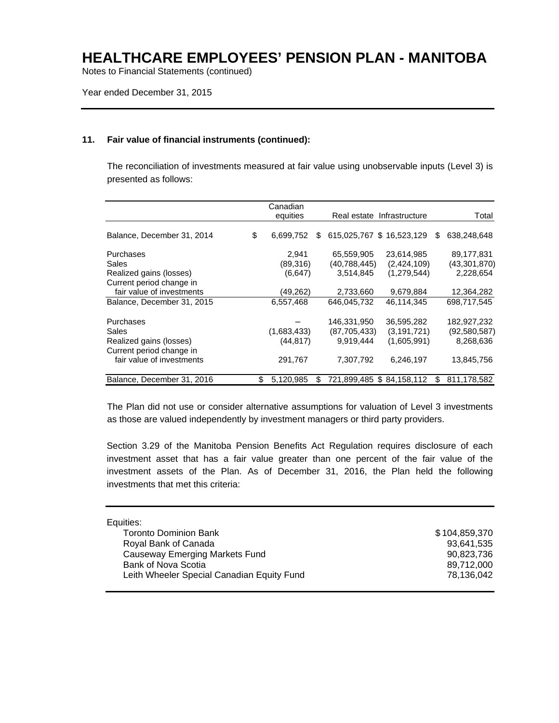Notes to Financial Statements (continued)

Year ended December 31, 2015

#### **11. Fair value of financial instruments (continued):**

The reconciliation of investments measured at fair value using unobservable inputs (Level 3) is presented as follows:

|                            | Canadian        |     |                |                            |    |              |
|----------------------------|-----------------|-----|----------------|----------------------------|----|--------------|
|                            | equities        |     |                | Real estate Infrastructure |    | Total        |
| Balance, December 31, 2014 | \$<br>6.699.752 | \$. |                | 615,025,767 \$ 16,523,129  | S  | 638,248,648  |
| Purchases                  | 2,941           |     | 65,559,905     | 23,614,985                 |    | 89,177,831   |
| Sales                      | (89,316)        |     | (40, 788, 445) | (2,424,109)                |    | (43,301,870) |
| Realized gains (losses)    | (6,647)         |     | 3,514,845      | (1, 279, 544)              |    | 2,228,654    |
| Current period change in   |                 |     |                |                            |    |              |
| fair value of investments  | (49,262)        |     | 2,733,660      | 9,679,884                  |    | 12,364,282   |
| Balance, December 31, 2015 | 6,557,468       |     | 646,045,732    | 46,114,345                 |    | 698,717,545  |
| Purchases                  |                 |     | 146,331,950    | 36,595,282                 |    | 182,927,232  |
| Sales                      | (1,683,433)     |     | (87,705,433)   | (3, 191, 721)              |    | (92,580,587) |
| Realized gains (losses)    | (44, 817)       |     | 9,919,444      | (1,605,991)                |    | 8,268,636    |
| Current period change in   |                 |     |                |                            |    |              |
| fair value of investments  | 291,767         |     | 7,307,792      | 6,246,197                  |    | 13,845,756   |
| Balance, December 31, 2016 | \$<br>5.120.985 | \$. |                | 721,899,485 \$84,158,112   | \$ | 811,178,582  |

The Plan did not use or consider alternative assumptions for valuation of Level 3 investments as those are valued independently by investment managers or third party providers.

Section 3.29 of the Manitoba Pension Benefits Act Regulation requires disclosure of each investment asset that has a fair value greater than one percent of the fair value of the investment assets of the Plan. As of December 31, 2016, the Plan held the following investments that met this criteria:

| Equities:                                  |               |
|--------------------------------------------|---------------|
| <b>Toronto Dominion Bank</b>               | \$104,859,370 |
| Royal Bank of Canada                       | 93.641.535    |
| Causeway Emerging Markets Fund             | 90.823.736    |
| Bank of Nova Scotia                        | 89.712.000    |
| Leith Wheeler Special Canadian Equity Fund | 78.136.042    |
|                                            |               |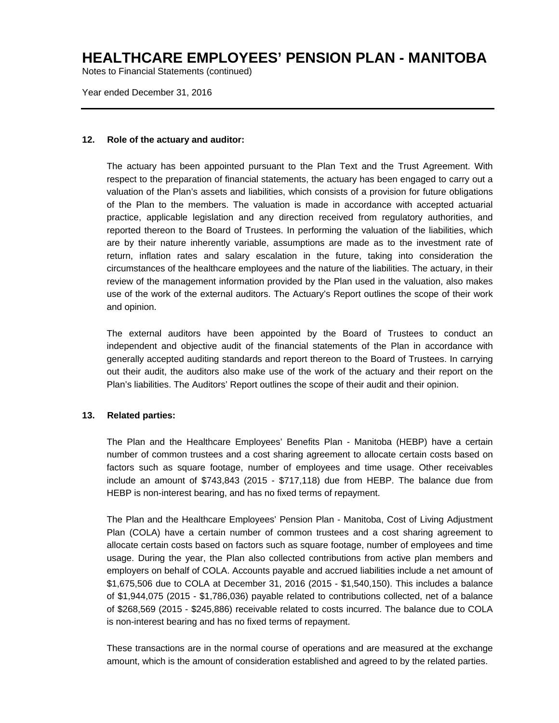Notes to Financial Statements (continued)

Year ended December 31, 2016

#### **12. Role of the actuary and auditor:**

The actuary has been appointed pursuant to the Plan Text and the Trust Agreement. With respect to the preparation of financial statements, the actuary has been engaged to carry out a valuation of the Plan's assets and liabilities, which consists of a provision for future obligations of the Plan to the members. The valuation is made in accordance with accepted actuarial practice, applicable legislation and any direction received from regulatory authorities, and reported thereon to the Board of Trustees. In performing the valuation of the liabilities, which are by their nature inherently variable, assumptions are made as to the investment rate of return, inflation rates and salary escalation in the future, taking into consideration the circumstances of the healthcare employees and the nature of the liabilities. The actuary, in their review of the management information provided by the Plan used in the valuation, also makes use of the work of the external auditors. The Actuary's Report outlines the scope of their work and opinion.

The external auditors have been appointed by the Board of Trustees to conduct an independent and objective audit of the financial statements of the Plan in accordance with generally accepted auditing standards and report thereon to the Board of Trustees. In carrying out their audit, the auditors also make use of the work of the actuary and their report on the Plan's liabilities. The Auditors' Report outlines the scope of their audit and their opinion.

#### **13. Related parties:**

The Plan and the Healthcare Employees' Benefits Plan - Manitoba (HEBP) have a certain number of common trustees and a cost sharing agreement to allocate certain costs based on factors such as square footage, number of employees and time usage. Other receivables include an amount of \$743,843 (2015 - \$717,118) due from HEBP. The balance due from HEBP is non-interest bearing, and has no fixed terms of repayment.

The Plan and the Healthcare Employees' Pension Plan - Manitoba, Cost of Living Adjustment Plan (COLA) have a certain number of common trustees and a cost sharing agreement to allocate certain costs based on factors such as square footage, number of employees and time usage. During the year, the Plan also collected contributions from active plan members and employers on behalf of COLA. Accounts payable and accrued liabilities include a net amount of \$1,675,506 due to COLA at December 31, 2016 (2015 - \$1,540,150). This includes a balance of \$1,944,075 (2015 - \$1,786,036) payable related to contributions collected, net of a balance of \$268,569 (2015 - \$245,886) receivable related to costs incurred. The balance due to COLA is non-interest bearing and has no fixed terms of repayment.

These transactions are in the normal course of operations and are measured at the exchange amount, which is the amount of consideration established and agreed to by the related parties.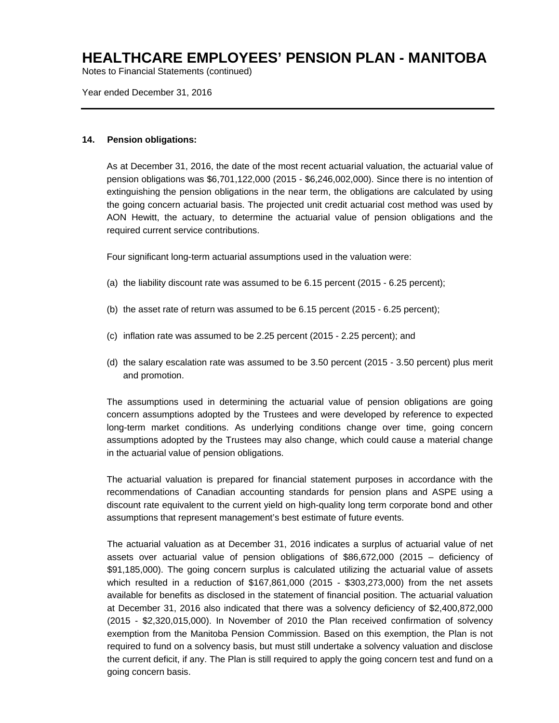Notes to Financial Statements (continued)

Year ended December 31, 2016

#### **14. Pension obligations:**

As at December 31, 2016, the date of the most recent actuarial valuation, the actuarial value of pension obligations was \$6,701,122,000 (2015 - \$6,246,002,000). Since there is no intention of extinguishing the pension obligations in the near term, the obligations are calculated by using the going concern actuarial basis. The projected unit credit actuarial cost method was used by AON Hewitt, the actuary, to determine the actuarial value of pension obligations and the required current service contributions.

Four significant long-term actuarial assumptions used in the valuation were:

- (a) the liability discount rate was assumed to be 6.15 percent (2015 6.25 percent);
- (b) the asset rate of return was assumed to be 6.15 percent (2015 6.25 percent);
- (c) inflation rate was assumed to be 2.25 percent (2015 2.25 percent); and
- (d) the salary escalation rate was assumed to be 3.50 percent (2015 3.50 percent) plus merit and promotion.

The assumptions used in determining the actuarial value of pension obligations are going concern assumptions adopted by the Trustees and were developed by reference to expected long-term market conditions. As underlying conditions change over time, going concern assumptions adopted by the Trustees may also change, which could cause a material change in the actuarial value of pension obligations.

The actuarial valuation is prepared for financial statement purposes in accordance with the recommendations of Canadian accounting standards for pension plans and ASPE using a discount rate equivalent to the current yield on high-quality long term corporate bond and other assumptions that represent management's best estimate of future events.

The actuarial valuation as at December 31, 2016 indicates a surplus of actuarial value of net assets over actuarial value of pension obligations of \$86,672,000 (2015 – deficiency of \$91,185,000). The going concern surplus is calculated utilizing the actuarial value of assets which resulted in a reduction of \$167,861,000 (2015 - \$303,273,000) from the net assets available for benefits as disclosed in the statement of financial position. The actuarial valuation at December 31, 2016 also indicated that there was a solvency deficiency of \$2,400,872,000 (2015 - \$2,320,015,000). In November of 2010 the Plan received confirmation of solvency exemption from the Manitoba Pension Commission. Based on this exemption, the Plan is not required to fund on a solvency basis, but must still undertake a solvency valuation and disclose the current deficit, if any. The Plan is still required to apply the going concern test and fund on a going concern basis.